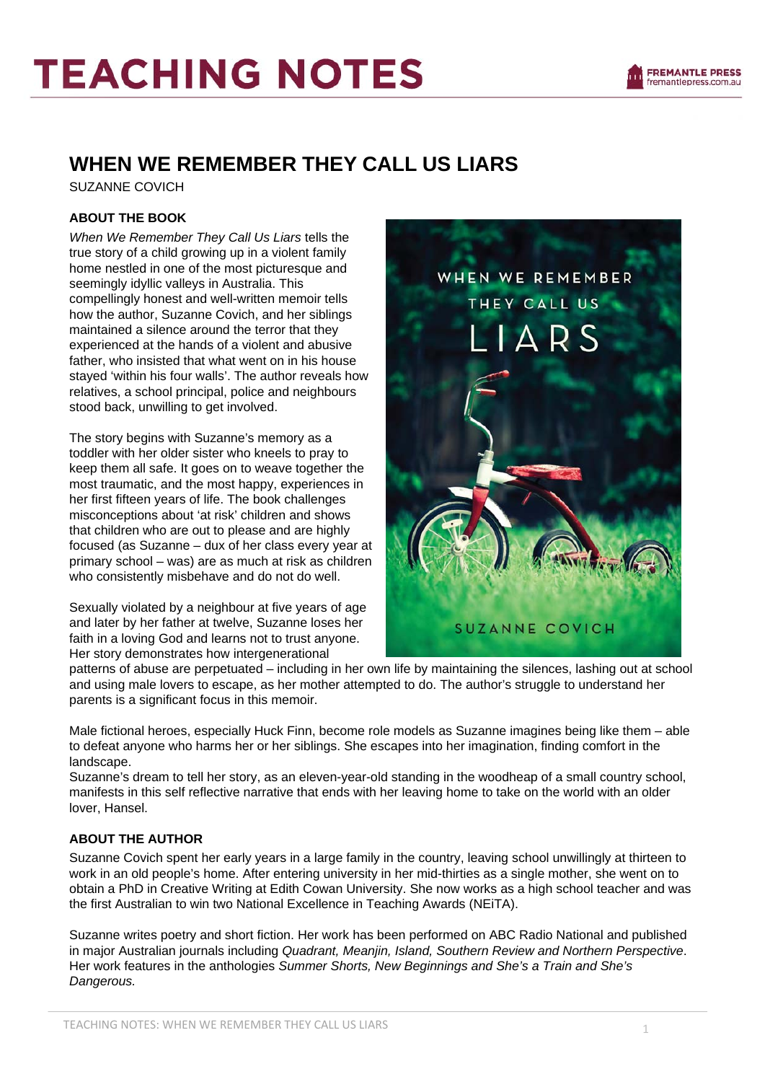

# **TEACHING NOTES**

## **WHEN WE REMEMBER THEY CALL US LIARS**

SUZANNE COVICH

#### **ABOUT THE BOOK**

*When We Remember They Call Us Liars* tells the true story of a child growing up in a violent family home nestled in one of the most picturesque and seemingly idyllic valleys in Australia. This compellingly honest and well-written memoir tells how the author, Suzanne Covich, and her siblings maintained a silence around the terror that they experienced at the hands of a violent and abusive father, who insisted that what went on in his house stayed 'within his four walls'. The author reveals how relatives, a school principal, police and neighbours stood back, unwilling to get involved.

The story begins with Suzanne's memory as a toddler with her older sister who kneels to pray to keep them all safe. It goes on to weave together the most traumatic, and the most happy, experiences in her first fifteen years of life. The book challenges misconceptions about 'at risk' children and shows that children who are out to please and are highly focused (as Suzanne – dux of her class every year at primary school – was) are as much at risk as children who consistently misbehave and do not do well.

Sexually violated by a neighbour at five years of age and later by her father at twelve, Suzanne loses her faith in a loving God and learns not to trust anyone. Her story demonstrates how intergenerational



patterns of abuse are perpetuated – including in her own life by maintaining the silences, lashing out at school and using male lovers to escape, as her mother attempted to do. The author's struggle to understand her parents is a significant focus in this memoir.

Male fictional heroes, especially Huck Finn, become role models as Suzanne imagines being like them – able to defeat anyone who harms her or her siblings. She escapes into her imagination, finding comfort in the landscape.

Suzanne's dream to tell her story, as an eleven-year-old standing in the woodheap of a small country school, manifests in this self reflective narrative that ends with her leaving home to take on the world with an older lover, Hansel.

### **ABOUT THE AUTHOR**

Suzanne Covich spent her early years in a large family in the country, leaving school unwillingly at thirteen to work in an old people's home. After entering university in her mid-thirties as a single mother, she went on to obtain a PhD in Creative Writing at Edith Cowan University. She now works as a high school teacher and was the first Australian to win two National Excellence in Teaching Awards (NEiTA).

Suzanne writes poetry and short fiction. Her work has been performed on ABC Radio National and published in major Australian journals including *Quadrant, Meanjin, Island, Southern Review and Northern Perspective*. Her work features in the anthologies *Summer Shorts, New Beginnings and She's a Train and She's Dangerous.*